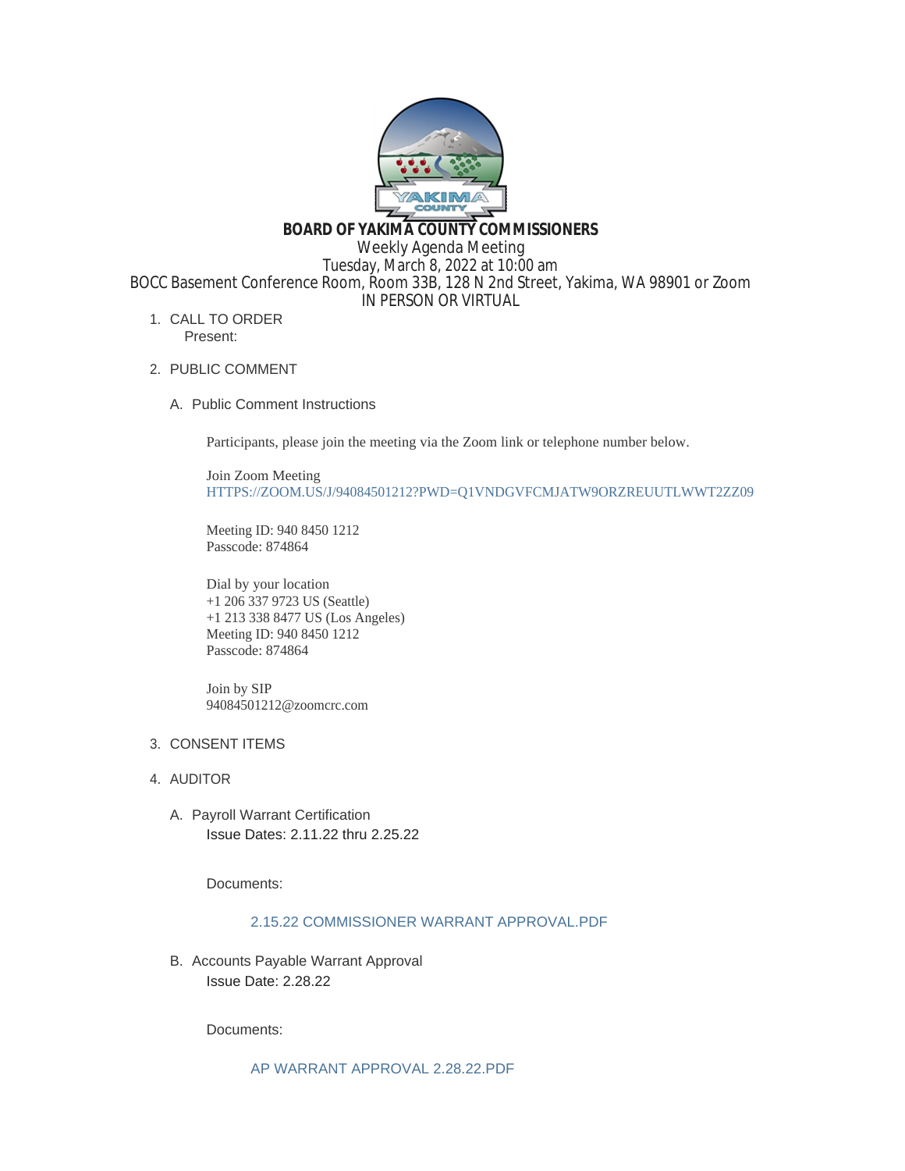

**BOARD OF YAKIMA COUNTY COMMISSIONERS**

Weekly Agenda Meeting

Tuesday, March 8, 2022 at 10:00 am BOCC Basement Conference Room, Room 33B, 128 N 2nd Street, Yakima, WA 98901 or Zoom IN PERSON OR VIRTUAL

- 1. CALL TO ORDER Present:
- 2. PUBLIC COMMENT
	- A. Public Comment Instructions

Participants, please join the meeting via the Zoom link or telephone number below.

Join Zoom Meeting [HTTPS://ZOOM.US/J/94084501212?PWD=Q1VNDGVFCMJATW9ORZREUUTLWWT2ZZ09](https://zoom.us/j/94084501212?pwd=Q1VNdGVFcmJaTW9ORzREUUtlWWt2Zz09)

Meeting ID: 940 8450 1212 Passcode: 874864

Dial by your location +1 206 337 9723 US (Seattle) +1 213 338 8477 US (Los Angeles) Meeting ID: 940 8450 1212 Passcode: 874864

Join by SIP 94084501212@zoomcrc.com

# 3. CONSENT ITEMS

- 4. AUDITOR
	- A. Payroll Warrant Certification Issue Dates: 2.11.22 thru 2.25.22

Documents:

## [2.15.22 COMMISSIONER WARRANT APPROVAL.PDF](https://www.yakimacounty.us/AgendaCenter/ViewFile/Item/3940?fileID=15687)

B. Accounts Payable Warrant Approval Issue Date: 2.28.22

Documents:

[AP WARRANT APPROVAL 2.28.22.PDF](https://www.yakimacounty.us/AgendaCenter/ViewFile/Item/3939?fileID=15686)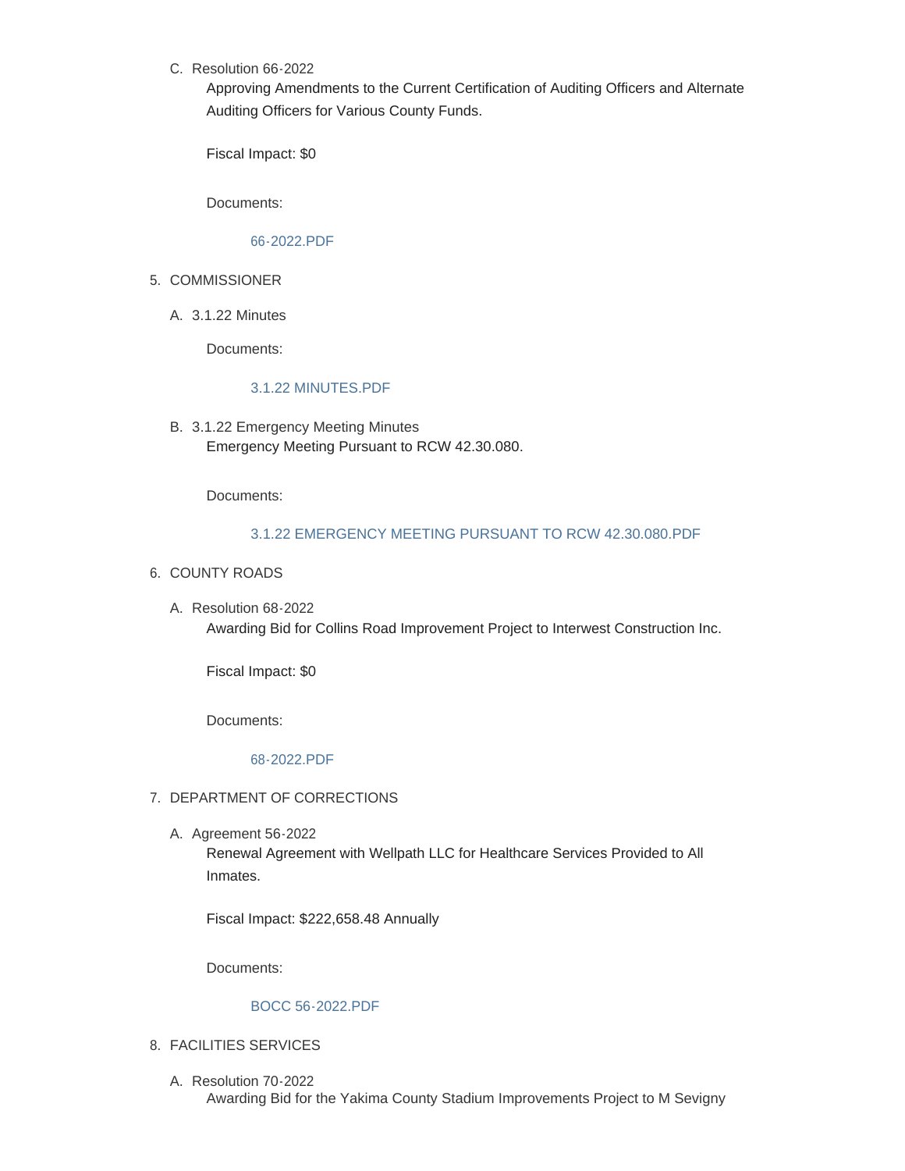C. Resolution 66-2022

Approving Amendments to the Current Certification of Auditing Officers and Alternate Auditing Officers for Various County Funds.

Fiscal Impact: \$0

Documents:

### [66-2022.PDF](https://www.yakimacounty.us/AgendaCenter/ViewFile/Item/3960?fileID=15694)

- 5. COMMISSIONER
	- 3.1.22 Minutes A.

Documents:

#### [3.1.22 MINUTES.PDF](https://www.yakimacounty.us/AgendaCenter/ViewFile/Item/3938?fileID=15685)

3.1.22 Emergency Meeting Minutes B. Emergency Meeting Pursuant to RCW 42.30.080.

Documents:

## [3.1.22 EMERGENCY MEETING PURSUANT TO RCW 42.30.080.PDF](https://www.yakimacounty.us/AgendaCenter/ViewFile/Item/3959?fileID=15693)

- 6. COUNTY ROADS
	- Resolution 68-2022 A. Awarding Bid for Collins Road Improvement Project to Interwest Construction Inc.

Fiscal Impact: \$0

Documents:

## [68-2022.PDF](https://www.yakimacounty.us/AgendaCenter/ViewFile/Item/3974?fileID=15713)

## 7. DEPARTMENT OF CORRECTIONS

A. Agreement 56-2022

Renewal Agreement with Wellpath LLC for Healthcare Services Provided to All Inmates.

Fiscal Impact: \$222,658.48 Annually

Documents:

#### [BOCC 56-2022.PDF](https://www.yakimacounty.us/AgendaCenter/ViewFile/Item/3942?fileID=15689)

## FACILITIES SERVICES 8.

Resolution 70-2022 A. Awarding Bid for the Yakima County Stadium Improvements Project to M Sevigny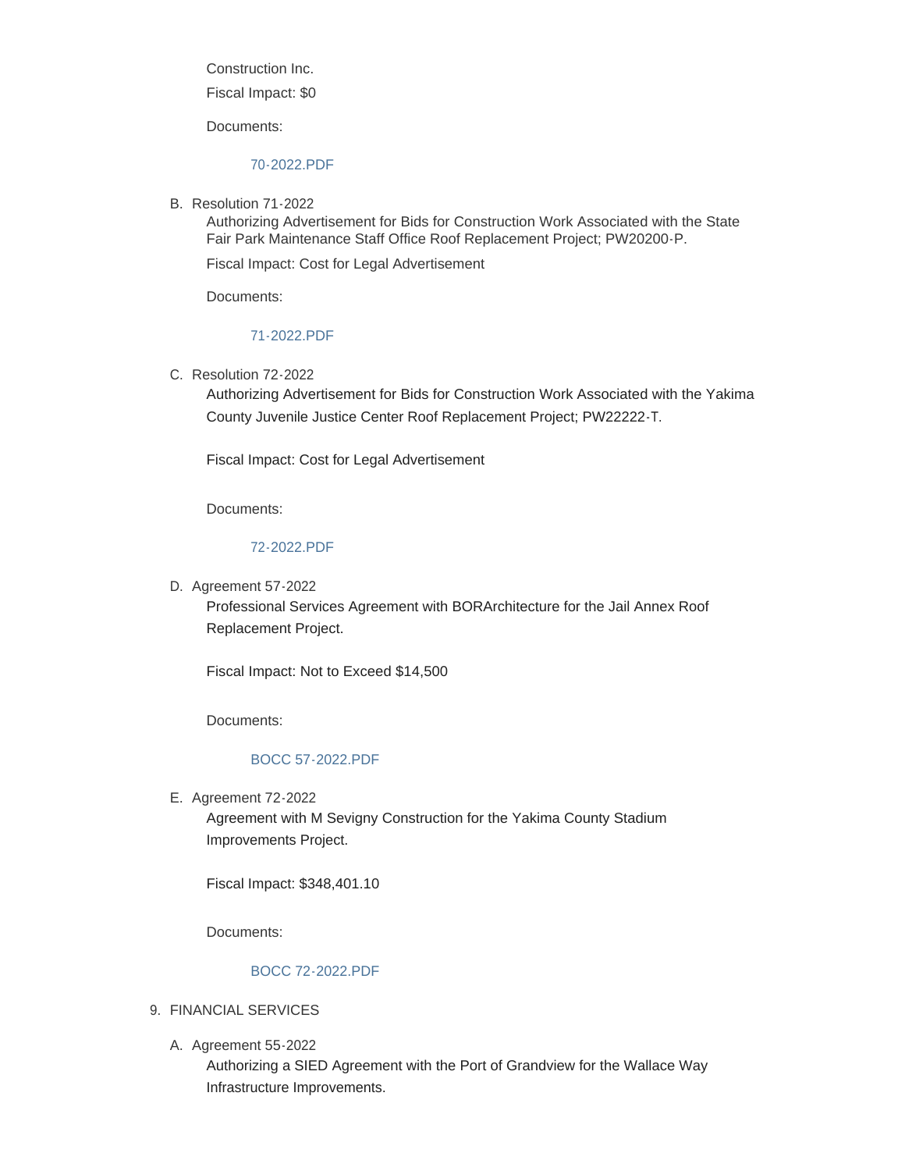Construction Inc.

Fiscal Impact: \$0

Documents:

### [70-2022.PDF](https://www.yakimacounty.us/AgendaCenter/ViewFile/Item/3975?fileID=15714)

B. Resolution 71-2022

Authorizing Advertisement for Bids for Construction Work Associated with the State Fair Park Maintenance Staff Office Roof Replacement Project; PW20200-P.

Fiscal Impact: Cost for Legal Advertisement

Documents:

#### [71-2022.PDF](https://www.yakimacounty.us/AgendaCenter/ViewFile/Item/3976?fileID=15715)

C. Resolution 72-2022

Authorizing Advertisement for Bids for Construction Work Associated with the Yakima County Juvenile Justice Center Roof Replacement Project; PW22222-T.

Fiscal Impact: Cost for Legal Advertisement

Documents:

## [72-2022.PDF](https://www.yakimacounty.us/AgendaCenter/ViewFile/Item/3977?fileID=15716)

D. Agreement 57-2022

Professional Services Agreement with BORArchitecture for the Jail Annex Roof Replacement Project.

Fiscal Impact: Not to Exceed \$14,500

Documents:

## [BOCC 57-2022.PDF](https://www.yakimacounty.us/AgendaCenter/ViewFile/Item/3943?fileID=15690)

E. Agreement 72-2022

Agreement with M Sevigny Construction for the Yakima County Stadium Improvements Project.

Fiscal Impact: \$348,401.10

Documents:

#### [BOCC 72-2022.PDF](https://www.yakimacounty.us/AgendaCenter/ViewFile/Item/3978?fileID=15712)

- FINANCIAL SERVICES 9.
	- A. Agreement 55-2022

Authorizing a SIED Agreement with the Port of Grandview for the Wallace Way Infrastructure Improvements.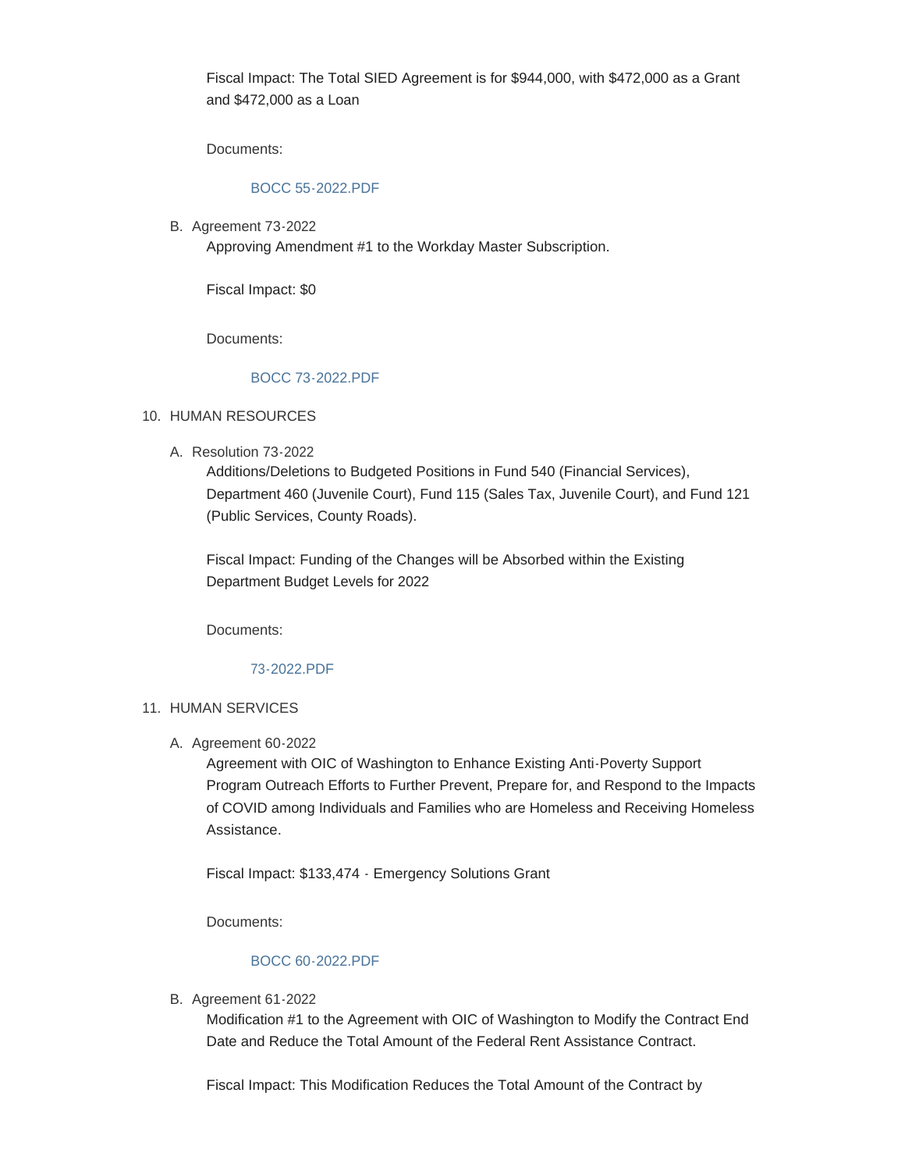Fiscal Impact: The Total SIED Agreement is for \$944,000, with \$472,000 as a Grant and \$472,000 as a Loan

Documents:

## [BOCC 55-2022.PDF](https://www.yakimacounty.us/AgendaCenter/ViewFile/Item/3941?fileID=15688)

B. Agreement 73-2022

Approving Amendment #1 to the Workday Master Subscription.

Fiscal Impact: \$0

Documents:

## [BOCC 73-2022.PDF](https://www.yakimacounty.us/AgendaCenter/ViewFile/Item/3985?fileID=15720)

#### 10. HUMAN RESOURCES

A. Resolution 73-2022

Additions/Deletions to Budgeted Positions in Fund 540 (Financial Services), Department 460 (Juvenile Court), Fund 115 (Sales Tax, Juvenile Court), and Fund 121 (Public Services, County Roads).

Fiscal Impact: Funding of the Changes will be Absorbed within the Existing Department Budget Levels for 2022

Documents:

## [73-2022.PDF](https://www.yakimacounty.us/AgendaCenter/ViewFile/Item/3979?fileID=15717)

## 11. HUMAN SERVICES

#### A. Agreement 60-2022

Agreement with OIC of Washington to Enhance Existing Anti-Poverty Support Program Outreach Efforts to Further Prevent, Prepare for, and Respond to the Impacts of COVID among Individuals and Families who are Homeless and Receiving Homeless Assistance.

Fiscal Impact: \$133,474 - Emergency Solutions Grant

Documents:

#### [BOCC 60-2022.PDF](https://www.yakimacounty.us/AgendaCenter/ViewFile/Item/3961?fileID=15695)

**B.** Agreement 61-2022

Modification #1 to the Agreement with OIC of Washington to Modify the Contract End Date and Reduce the Total Amount of the Federal Rent Assistance Contract.

Fiscal Impact: This Modification Reduces the Total Amount of the Contract by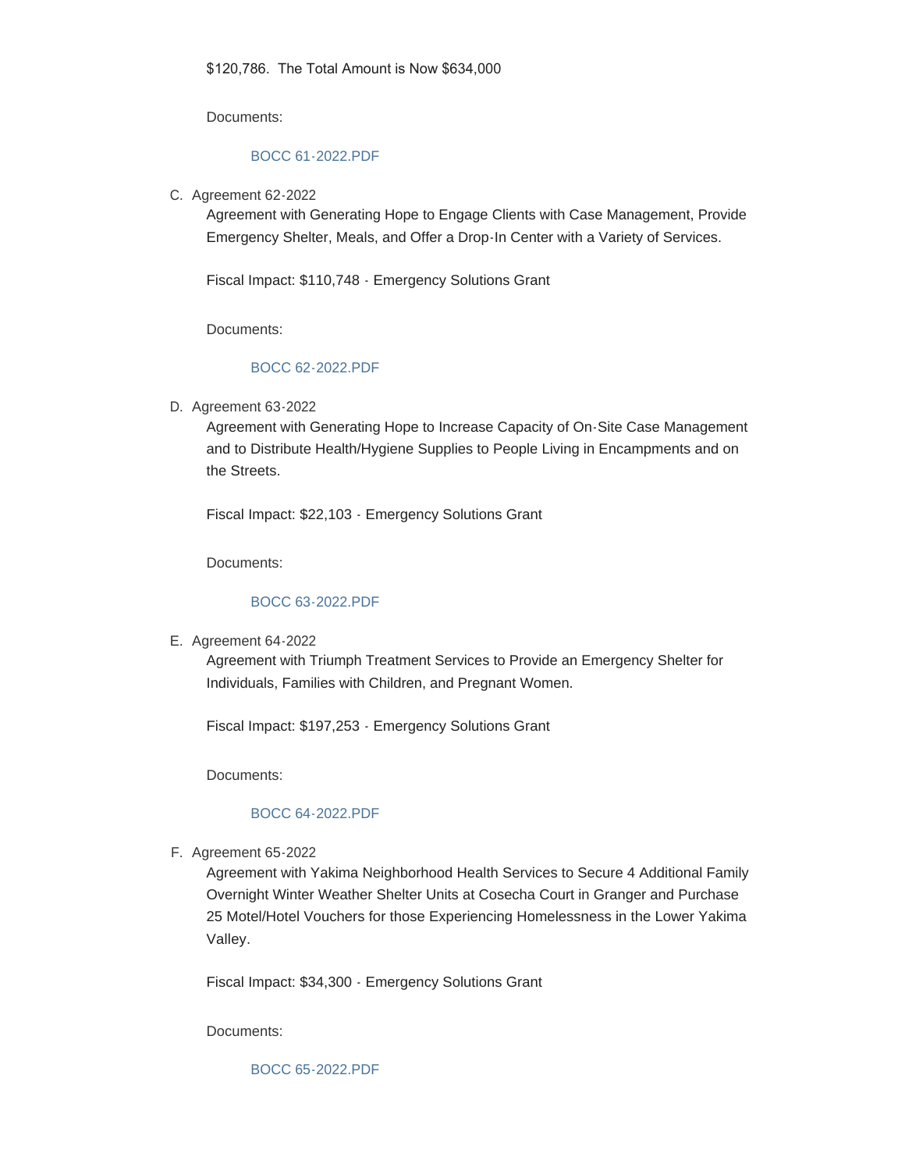Documents:

#### [BOCC 61-2022.PDF](https://www.yakimacounty.us/AgendaCenter/ViewFile/Item/3962?fileID=15697)

C. Agreement 62-2022

Agreement with Generating Hope to Engage Clients with Case Management, Provide Emergency Shelter, Meals, and Offer a Drop-In Center with a Variety of Services.

Fiscal Impact: \$110,748 - Emergency Solutions Grant

Documents:

## [BOCC 62-2022.PDF](https://www.yakimacounty.us/AgendaCenter/ViewFile/Item/3963?fileID=15698)

D. Agreement 63-2022

Agreement with Generating Hope to Increase Capacity of On-Site Case Management and to Distribute Health/Hygiene Supplies to People Living in Encampments and on the Streets.

Fiscal Impact: \$22,103 - Emergency Solutions Grant

Documents:

## [BOCC 63-2022.PDF](https://www.yakimacounty.us/AgendaCenter/ViewFile/Item/3964?fileID=15699)

E. Agreement 64-2022

Agreement with Triumph Treatment Services to Provide an Emergency Shelter for Individuals, Families with Children, and Pregnant Women.

Fiscal Impact: \$197,253 - Emergency Solutions Grant

Documents:

#### [BOCC 64-2022.PDF](https://www.yakimacounty.us/AgendaCenter/ViewFile/Item/3965?fileID=15700)

F. Agreement 65-2022

Agreement with Yakima Neighborhood Health Services to Secure 4 Additional Family Overnight Winter Weather Shelter Units at Cosecha Court in Granger and Purchase 25 Motel/Hotel Vouchers for those Experiencing Homelessness in the Lower Yakima Valley.

Fiscal Impact: \$34,300 - Emergency Solutions Grant

Documents:

[BOCC 65-2022.PDF](https://www.yakimacounty.us/AgendaCenter/ViewFile/Item/3966?fileID=15701)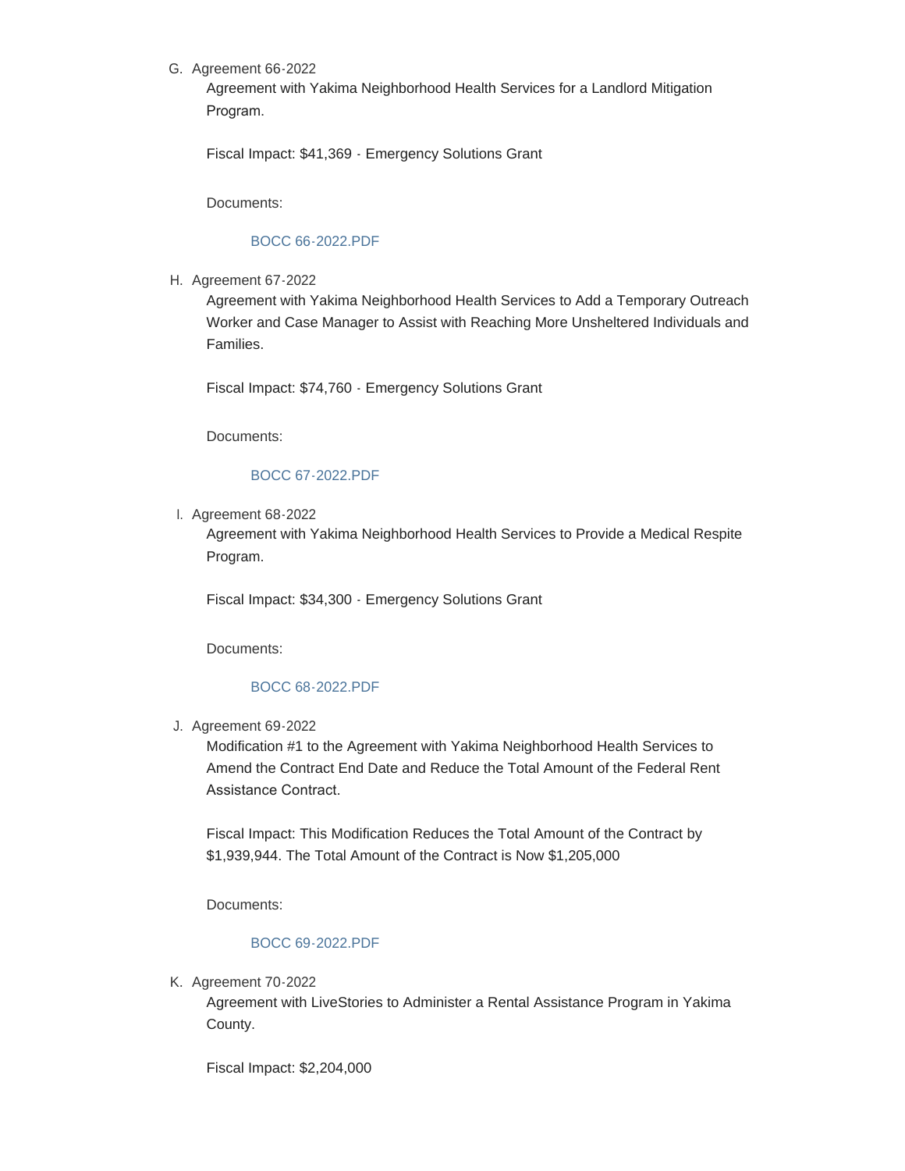## G. Agreement 66-2022

Agreement with Yakima Neighborhood Health Services for a Landlord Mitigation Program.

Fiscal Impact: \$41,369 - Emergency Solutions Grant

Documents:

#### [BOCC 66-2022.PDF](https://www.yakimacounty.us/AgendaCenter/ViewFile/Item/3967?fileID=15702)

H. Agreement 67-2022

Agreement with Yakima Neighborhood Health Services to Add a Temporary Outreach Worker and Case Manager to Assist with Reaching More Unsheltered Individuals and Families.

Fiscal Impact: \$74,760 - Emergency Solutions Grant

Documents:

#### [BOCC 67-2022.PDF](https://www.yakimacounty.us/AgendaCenter/ViewFile/Item/3968?fileID=15703)

l. Agreement 68-2022

Agreement with Yakima Neighborhood Health Services to Provide a Medical Respite Program.

Fiscal Impact: \$34,300 - Emergency Solutions Grant

Documents:

## [BOCC 68-2022.PDF](https://www.yakimacounty.us/AgendaCenter/ViewFile/Item/3969?fileID=15704)

Agreement 69-2022 J.

Modification #1 to the Agreement with Yakima Neighborhood Health Services to Amend the Contract End Date and Reduce the Total Amount of the Federal Rent Assistance Contract.

Fiscal Impact: This Modification Reduces the Total Amount of the Contract by \$1,939,944. The Total Amount of the Contract is Now \$1,205,000

Documents:

# [BOCC 69-2022.PDF](https://www.yakimacounty.us/AgendaCenter/ViewFile/Item/3970?fileID=15705)

K. Agreement 70-2022

Agreement with LiveStories to Administer a Rental Assistance Program in Yakima County.

Fiscal Impact: \$2,204,000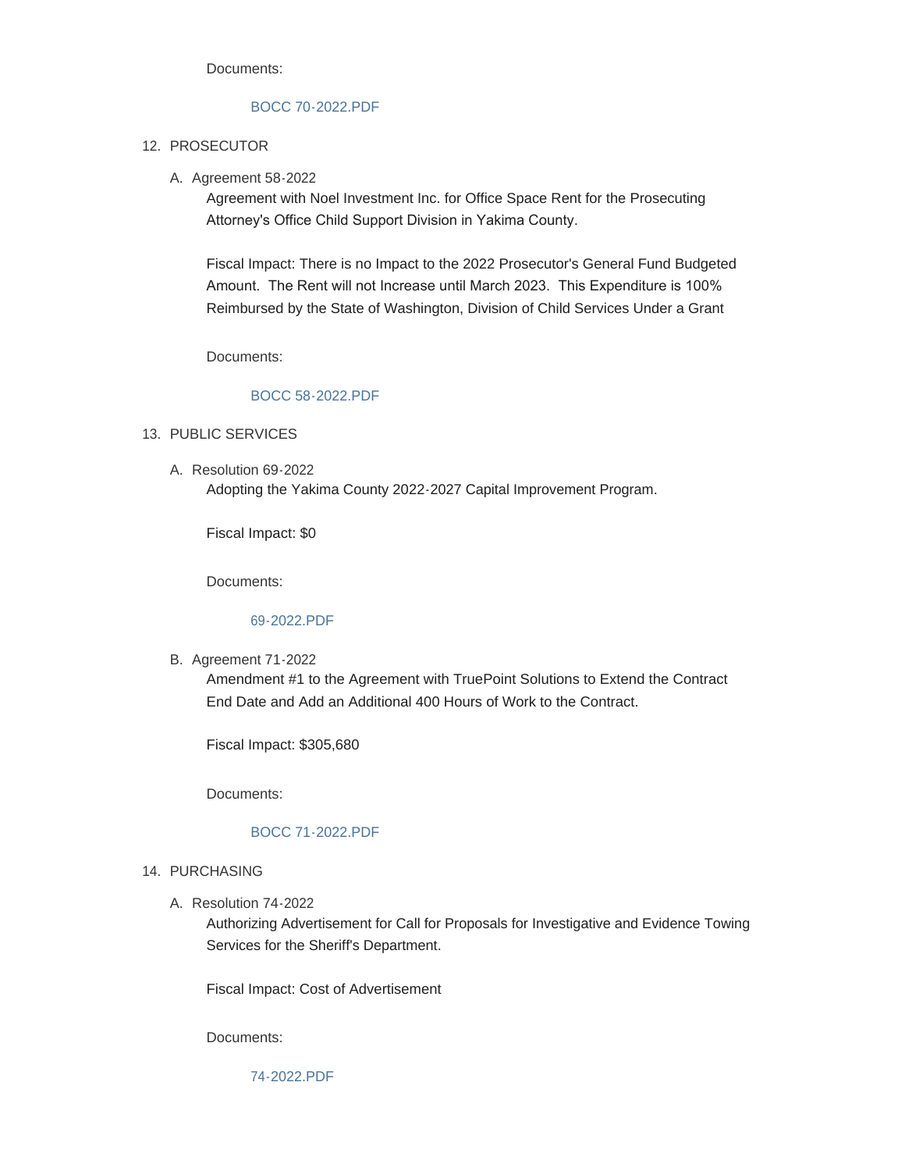Documents:

### [BOCC 70-2022.PDF](https://www.yakimacounty.us/AgendaCenter/ViewFile/Item/3971?fileID=15706)

## 12. PROSECUTOR

A. Agreement 58-2022

Agreement with Noel Investment Inc. for Office Space Rent for the Prosecuting Attorney's Office Child Support Division in Yakima County.

Fiscal Impact: There is no Impact to the 2022 Prosecutor's General Fund Budgeted Amount. The Rent will not Increase until March 2023. This Expenditure is 100% Reimbursed by the State of Washington, Division of Child Services Under a Grant

Documents:

## [BOCC 58-2022.PDF](https://www.yakimacounty.us/AgendaCenter/ViewFile/Item/3944?fileID=15691)

- 13. PUBLIC SERVICES
	- A. Resolution 69-2022 Adopting the Yakima County 2022-2027 Capital Improvement Program.

Fiscal Impact: \$0

Documents:

#### [69-2022.PDF](https://www.yakimacounty.us/AgendaCenter/ViewFile/Item/3980?fileID=15718)

**B.** Agreement 71-2022

Amendment #1 to the Agreement with TruePoint Solutions to Extend the Contract End Date and Add an Additional 400 Hours of Work to the Contract.

Fiscal Impact: \$305,680

Documents:

#### [BOCC 71-2022.PDF](https://www.yakimacounty.us/AgendaCenter/ViewFile/Item/3981?fileID=15719)

- 14. PURCHASING
	- A. Resolution 74-2022

Authorizing Advertisement for Call for Proposals for Investigative and Evidence Towing Services for the Sheriff's Department.

Fiscal Impact: Cost of Advertisement

Documents:

[74-2022.PDF](https://www.yakimacounty.us/AgendaCenter/ViewFile/Item/3987?fileID=15722)